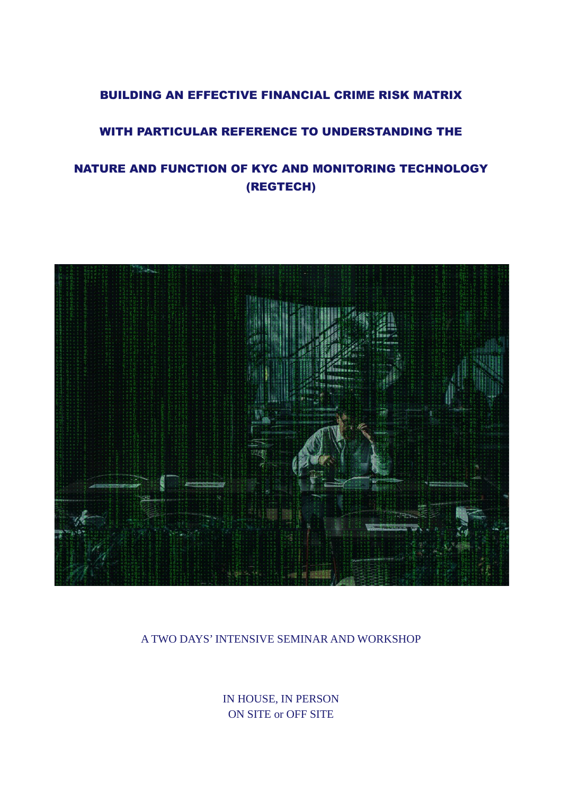## BUILDING AN EFFECTIVE FINANCIAL CRIME RISK MATRIX

# WITH PARTICULAR REFERENCE TO UNDERSTANDING THE

# NATURE AND FUNCTION OF KYC AND MONITORING TECHNOLOGY (REGTECH)



### A TWO DAYS' INTENSIVE SEMINAR AND WORKSHOP

IN HOUSE, IN PERSON ON SITE or OFF SITE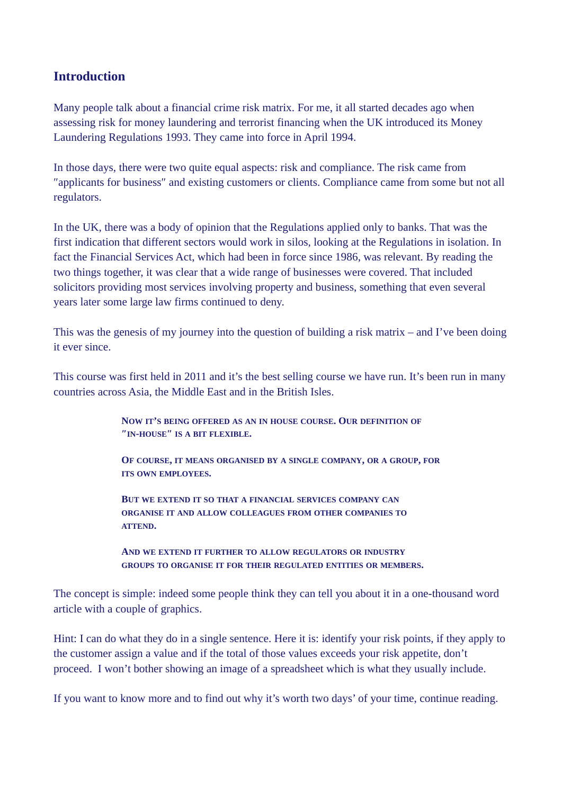# **Introduction**

Many people talk about a financial crime risk matrix. For me, it all started decades ago when assessing risk for money laundering and terrorist financing when the UK introduced its Money Laundering Regulations 1993. They came into force in April 1994.

In those days, there were two quite equal aspects: risk and compliance. The risk came from ″applicants for business″ and existing customers or clients. Compliance came from some but not all regulators.

In the UK, there was a body of opinion that the Regulations applied only to banks. That was the first indication that different sectors would work in silos, looking at the Regulations in isolation. In fact the Financial Services Act, which had been in force since 1986, was relevant. By reading the two things together, it was clear that a wide range of businesses were covered. That included solicitors providing most services involving property and business, something that even several years later some large law firms continued to deny.

This was the genesis of my journey into the question of building a risk matrix – and I've been doing it ever since.

This course was first held in 2011 and it's the best selling course we have run. It's been run in many countries across Asia, the Middle East and in the British Isles.

> **NOW IT'S BEING OFFERED AS AN IN HOUSE COURSE. OUR DEFINITION OF ″IN-HOUSE″ IS A BIT FLEXIBLE.**

**OF COURSE, IT MEANS ORGANISED BY A SINGLE COMPANY, OR A GROUP, FOR ITS OWN EMPLOYEES.** 

**BUT WE EXTEND IT SO THAT A FINANCIAL SERVICES COMPANY CAN ORGANISE IT AND ALLOW COLLEAGUES FROM OTHER COMPANIES TO ATTEND.**

**AND WE EXTEND IT FURTHER TO ALLOW REGULATORS OR INDUSTRY GROUPS TO ORGANISE IT FOR THEIR REGULATED ENTITIES OR MEMBERS.**

The concept is simple: indeed some people think they can tell you about it in a one-thousand word article with a couple of graphics.

Hint: I can do what they do in a single sentence. Here it is: identify your risk points, if they apply to the customer assign a value and if the total of those values exceeds your risk appetite, don't proceed. I won't bother showing an image of a spreadsheet which is what they usually include.

If you want to know more and to find out why it's worth two days' of your time, continue reading.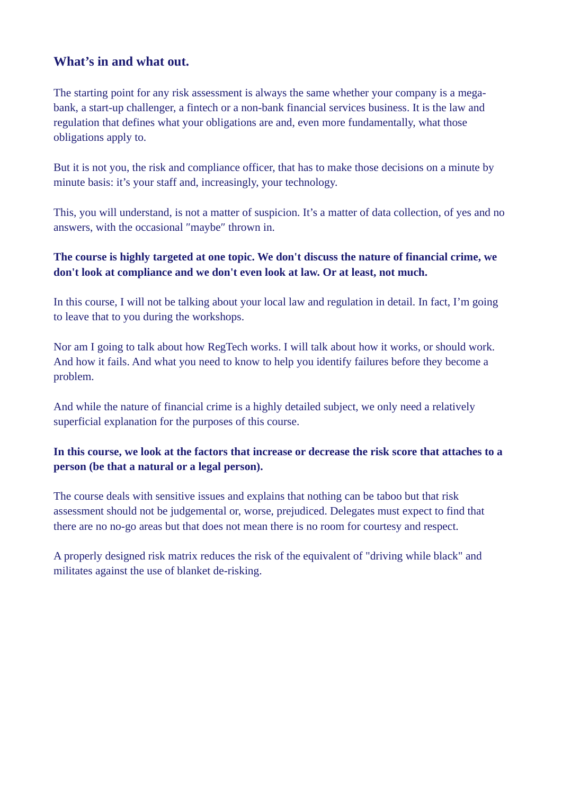# **What's in and what out.**

The starting point for any risk assessment is always the same whether your company is a megabank, a start-up challenger, a fintech or a non-bank financial services business. It is the law and regulation that defines what your obligations are and, even more fundamentally, what those obligations apply to.

But it is not you, the risk and compliance officer, that has to make those decisions on a minute by minute basis: it's your staff and, increasingly, your technology.

This, you will understand, is not a matter of suspicion. It's a matter of data collection, of yes and no answers, with the occasional ″maybe″ thrown in.

### **The course is highly targeted at one topic. We don't discuss the nature of financial crime, we don't look at compliance and we don't even look at law. Or at least, not much.**

In this course, I will not be talking about your local law and regulation in detail. In fact, I'm going to leave that to you during the workshops.

Nor am I going to talk about how RegTech works. I will talk about how it works, or should work. And how it fails. And what you need to know to help you identify failures before they become a problem.

And while the nature of financial crime is a highly detailed subject, we only need a relatively superficial explanation for the purposes of this course.

### **In this course, we look at the factors that increase or decrease the risk score that attaches to a person (be that a natural or a legal person).**

The course deals with sensitive issues and explains that nothing can be taboo but that risk assessment should not be judgemental or, worse, prejudiced. Delegates must expect to find that there are no no-go areas but that does not mean there is no room for courtesy and respect.

A properly designed risk matrix reduces the risk of the equivalent of "driving while black" and militates against the use of blanket de-risking.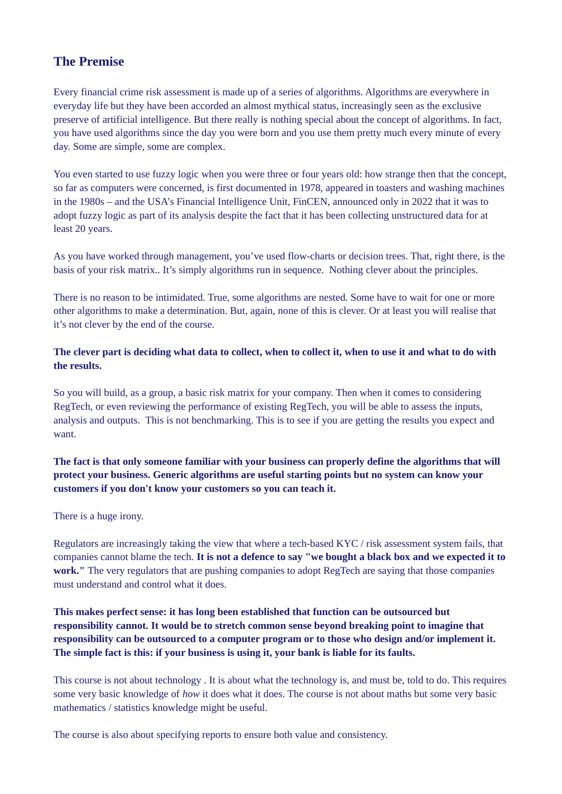# **The Premise**

Every financial crime risk assessment is made up of a series of algorithms. Algorithms are everywhere in everyday life but they have been accorded an almost mythical status, increasingly seen as the exclusive preserve of artificial intelligence. But there really is nothing special about the concept of algorithms. In fact, you have used algorithms since the day you were born and you use them pretty much every minute of every day. Some are simple, some are complex.

You even started to use fuzzy logic when you were three or four years old: how strange then that the concept, so far as computers were concerned, is first documented in 1978, appeared in toasters and washing machines in the 1980s – and the USA's Financial Intelligence Unit, FinCEN, announced only in 2022 that it was to adopt fuzzy logic as part of its analysis despite the fact that it has been collecting unstructured data for at least 20 years.

As you have worked through management, you've used flow-charts or decision trees. That, right there, is the basis of your risk matrix.. It's simply algorithms run in sequence. Nothing clever about the principles.

There is no reason to be intimidated. True, some algorithms are nested. Some have to wait for one or more other algorithms to make a determination. But, again, none of this is clever. Or at least you will realise that it's not clever by the end of the course.

#### **The clever part is deciding what data to collect, when to collect it, when to use it and what to do with the results.**

So you will build, as a group, a basic risk matrix for your company. Then when it comes to considering RegTech, or even reviewing the performance of existing RegTech, you will be able to assess the inputs, analysis and outputs. This is not benchmarking. This is to see if you are getting the results you expect and want.

#### **The fact is that only someone familiar with your business can properly define the algorithms that will protect your business. Generic algorithms are useful starting points but no system can know your customers if you don't know your customers so you can teach it.**

There is a huge irony.

Regulators are increasingly taking the view that where a tech-based KYC / risk assessment system fails, that companies cannot blame the tech. **It is not a defence to say "we bought a black box and we expected it to work."** The very regulators that are pushing companies to adopt RegTech are saying that those companies must understand and control what it does.

### **This makes perfect sense: it has long been established that function can be outsourced but responsibility cannot. It would be to stretch common sense beyond breaking point to imagine that responsibility can be outsourced to a computer program or to those who design and/or implement it. The simple fact is this: if your business is using it, your bank is liable for its faults.**

This course is not about technology . It is about what the technology is, and must be, told to do. This requires some very basic knowledge of *how* it does what it does. The course is not about maths but some very basic mathematics / statistics knowledge might be useful.

The course is also about specifying reports to ensure both value and consistency.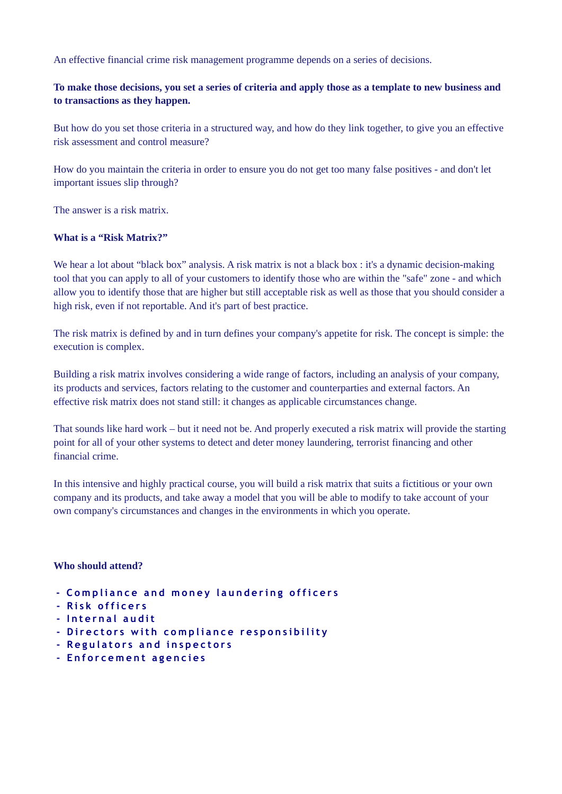An effective financial crime risk management programme depends on a series of decisions.

#### **To make those decisions, you set a series of criteria and apply those as a template to new business and to transactions as they happen.**

But how do you set those criteria in a structured way, and how do they link together, to give you an effective risk assessment and control measure?

How do you maintain the criteria in order to ensure you do not get too many false positives - and don't let important issues slip through?

The answer is a risk matrix.

#### **What is a "Risk Matrix?"**

We hear a lot about "black box" analysis. A risk matrix is not a black box : it's a dynamic decision-making tool that you can apply to all of your customers to identify those who are within the "safe" zone - and which allow you to identify those that are higher but still acceptable risk as well as those that you should consider a high risk, even if not reportable. And it's part of best practice.

The risk matrix is defined by and in turn defines your company's appetite for risk. The concept is simple: the execution is complex.

Building a risk matrix involves considering a wide range of factors, including an analysis of your company, its products and services, factors relating to the customer and counterparties and external factors. An effective risk matrix does not stand still: it changes as applicable circumstances change.

That sounds like hard work – but it need not be. And properly executed a risk matrix will provide the starting point for all of your other systems to detect and deter money laundering, terrorist financing and other financial crime.

In this intensive and highly practical course, you will build a risk matrix that suits a fictitious or your own company and its products, and take away a model that you will be able to modify to take account of your own company's circumstances and changes in the environments in which you operate.

#### **Who should attend?**

- **Compliance and money laundering officers**
- **R i s k o f f i c e r s**
- **I n t e r n a l a u d i t**
- Directors with compliance responsibility
- **Regulators and inspectors**
- **E n f o r c e m e n t a g e n c i e s**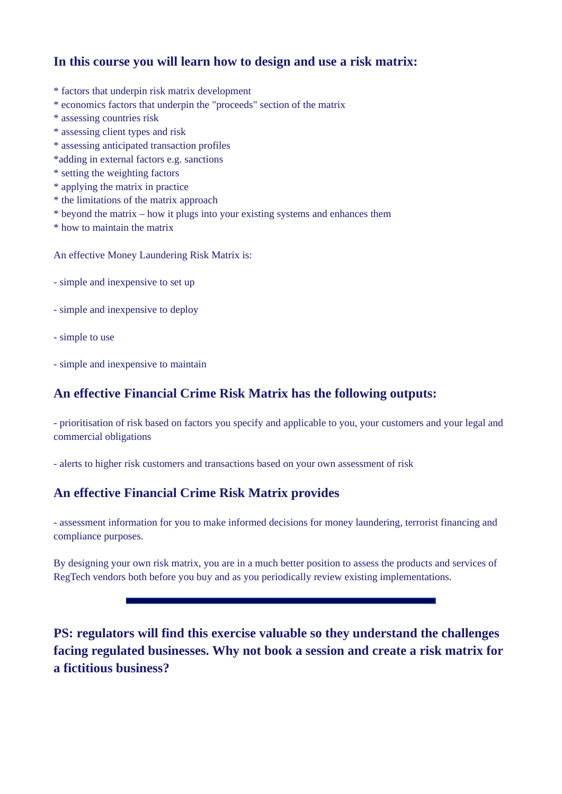# **In this course you will learn how to design and use a risk matrix:**

- \* factors that underpin risk matrix development
- \* economics factors that underpin the "proceeds" section of the matrix
- \* assessing countries risk
- \* assessing client types and risk
- \* assessing anticipated transaction profiles
- \*adding in external factors e.g. sanctions
- \* setting the weighting factors
- \* applying the matrix in practice
- \* the limitations of the matrix approach
- \* beyond the matrix how it plugs into your existing systems and enhances them
- \* how to maintain the matrix

An effective Money Laundering Risk Matrix is:

- simple and inexpensive to set up
- simple and inexpensive to deploy
- simple to use
- simple and inexpensive to maintain

### **An effective Financial Crime Risk Matrix has the following outputs:**

- prioritisation of risk based on factors you specify and applicable to you, your customers and your legal and commercial obligations

- alerts to higher risk customers and transactions based on your own assessment of risk

# **An effective Financial Crime Risk Matrix provides**

- assessment information for you to make informed decisions for money laundering, terrorist financing and compliance purposes.

By designing your own risk matrix, you are in a much better position to assess the products and services of RegTech vendors both before you buy and as you periodically review existing implementations.

**PS: regulators will find this exercise valuable so they understand the challenges facing regulated businesses. Why not book a session and create a risk matrix for a fictitious business?**